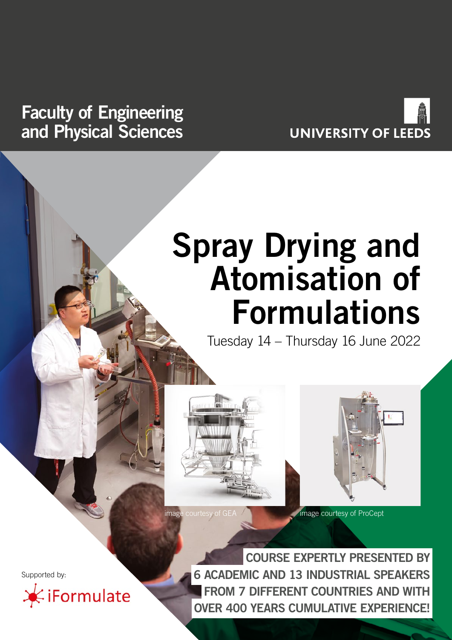# **Faculty of Engineering and Physical Sciences**



# **Spray Drying and Atomisation of Formulations**

Tuesday 14 – Thursday 16 June 2022





Supported by:

Formulate

**COURSE EXPERTLY PRESENTED BY 6 ACADEMIC AND 13 INDUSTRIAL SPEAKERS FROM 7 DIFFERENT COUNTRIES AND WITH OVER 400 YEARS CUMULATIVE EXPERIENCE!**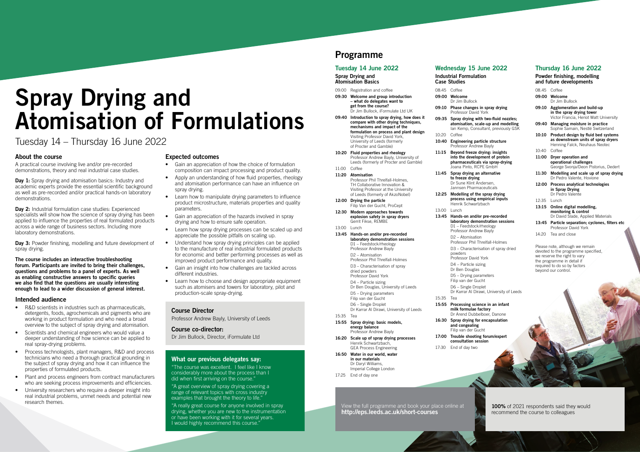# **Programme**

# **Tuesday 14 June 2022**

**Spray Drying and Atomisation Basics**

- 09:00 Registration and coffee
- **09:30 Welcome and group introduction – what do delegates want to get from the course?** Dr Jim Bullock, iFormulate Ltd UK
- **09:40 Introduction to spray drying, how does it compare with other drying techniques, mechanisms and impact of the formulation on process and plant design** Visiting Professor David York, University of Leeds (formerly of Procter and Gamble)
- **10:20 Fluid properties and rheology** Professor Andrew Bayly, University of Leeds (formerly of Procter and Gamble)
- 11:00 Coffee
- **11:20 Atomisation** Professor Phil Threlfall-Holmes, TH Collaborative Innovation & Visiting Professor at the University of Leeds (formerly of AkzoNobel)
- **12:00 Drying the particle** Filip Van der Gucht, ProCept
- **12:30 Modern approaches towards explosion safety in spray dryers** Gerrit Fikse, REMBE 13:00 Lunch
- **13:45 Hands-on and/or pre-recorded laboratory demonstration sessions** D1 – Feedstock/rheology Professor Andrew Bayly D2 – Atomisation Professor Phil Threlfall-Holmes D3 – Characterisation of spray dried powders Professor David York D4 – Particle sizing Dr Ben Douglas, University of Leeds D5 – Drying parameters Filip van der Gucht D6 – Single Droplet Dr Karrar Al Dirawi, University of Leeds 15:35 Tea
- **15:55 Spray drying: basic models, energy balance** Professor Andrew Bayly
- **16:20 Scale up of spray drying processes** Henrik Schwartzbach, GEA Process Engineering **16:50 Water in our world, water**
- **in our materials** Dr Daryl Williams, Imperial College London

Ian Kemp, Consult 10:20 Coffee

**10:40 Engineering partic** 

Professor Andrew 11:15 **Beyond freeze dry** into the developm **pharmaceuticals** v Joana Pinto, RCPE

#### 11:45 Spray drying an al **to freeze drying** Dr Sune Klint Ande Jannsen Pharmace

**12:25 Modelling of the s process using emp** Henrik Schwartzba

# **Wednesday 15 June 2022 Industrial Formulation**

#### **Case Studies** 08:45 Coffee

**09:00 Welcome** Dr Jim Bullock

**09:10 Phase changes in** 

#### Professor David Yo 09:35 Spray drying with atomisation, scale

100% of 2021 respondents said they would recommend the course to colleagues

- **15:55 Processing science in an infant milk formulae factory** Dr Arend Dubbelboer, Danone
- **16:30 Spray drying for encapsulation and congealing** Filip van der Gucht
- **17:00 Trouble shooting forum/expert consultation session**
- 17:30 End of day two
- 
- 17:25 End of day one

**Day 1:** Spray drying and atomisation basics: Industry and academic experts provide the essential scientific background as well as pre-recorded and/or practical hands-on laboratory demonstrations.

# 13:00 Lunch

Day 3: Powder finishing, modelling and future development of spray drying.

**13:45 Hands-on and/or pre-recorded laboratory demonstration sessions** D1 – Feedstock/rheology Professor Andrew Bayly D2 – Atomisation Professor Phil Threlfall-Holmes D3 – Characterisation of spray dried powders Professor David York D4 – Particle sizing Dr Ben Douglas D5 – Drying parameters

Filip van der Gucht D6 – Single Droplet Dr Karrar Al Dirawi, University of Leeds

# 15:35 Tea

#### **Thursday 16 June 2022 Powder finishing, modelling and future developments**

|         | anu ruture uevelupments                                                                                     |
|---------|-------------------------------------------------------------------------------------------------------------|
| 08 45   | Coffee                                                                                                      |
| 09:00   | Welcome                                                                                                     |
|         | Dr Jim Bullock                                                                                              |
| 09:10   | Agglomeration and build-up<br>in the spray drying tower<br>Victor Francia, Heriot Watt University           |
| 09:40   | Managing moisture in practice<br>Sophie Samain, Nestlé Switzerland                                          |
| 10:10   | Product design by fluid bed systems<br>as downstream units of spray dryers<br>Henning Falck, Neuhaus Neotec |
| $10-40$ | Coffee                                                                                                      |
| 11:00   | Dryer operation and<br>operational challenges<br>George Svonja/Deon Pistorius, Dedert                       |
| 11:30   | Modelling and scale up of spray drying<br>Dr Pedro Valente, Hovione                                         |
| 12:00   | <b>Process analytical technologies</b><br>in Spray Drying<br>Dr Pedro Valente                               |
| 12:35   | Lunch                                                                                                       |
| 13:15   | Online digital modelling,<br>monitoring & control<br>Dr David Slade, Applied Materials                      |
| 13:45   | Particle separation; cyclones, filters etc<br>Professor David York                                          |
| 14:20   | Tea and close                                                                                               |

"The course was excellent. I feel like I know considerably more about the process than I did when first arriving on the course.'

Please note, although we remain devoted to the programme specified, we reserve the right to vary the programme in detail if required to do so by factors beyond our control.

View the full programme and book your place online at **http://eps.leeds.ac.uk/short-courses**

| spray drying<br>)rk                                                      |
|--------------------------------------------------------------------------|
| two-fluid nozzles;<br>up and modelling-<br>ant, previously GSK           |
| cle structure<br>Bayly                                                   |
| ing: insights<br>ent of protein<br>ia spray-drying<br>GmbH<br>lternative |
| ersen,<br>euticals                                                       |
| pray drying<br>pirical inputs<br>ach                                     |
|                                                                          |

# **Spray Drying and Atomisation of Formulations**

Tuesday 14 – Thursday 16 June 2022

# **About the course**

A practical course involving live and/or pre-recorded demonstrations, theory and real industrial case studies.

**Day 2:** Industrial formulation case studies: Experienced specialists will show how the science of spray drying has been applied to influence the properties of real formulated products across a wide range of business sectors. Including more laboratory demonstrations.

**The course includes an interactive troubleshooting forum. Participants are invited to bring their challenges, questions and problems to a panel of experts. As well as enabling constructive answers to specific queries we also find that the questions are usually interesting enough to lead to a wider discussion of general interest.** 

## **Intended audience**

- R&D scientists in industries such as pharmaceuticals, detergents, foods, agrochemicals and pigments who are working in product formulation and who need a broad overview to the subject of spray drying and atomisation.
- Scientists and chemical engineers who would value a deeper understanding of how science can be applied to real spray-drying problems.
- Process technologists, plant managers, R&D and process technicians who need a thorough practical grounding in the subject of spray drying and how it can influence the properties of formulated products.
- Plant and process engineers from contract manufacturers who are seeking process improvements and efficiencies.
- University researchers who require a deeper insight into real industrial problems, unmet needs and potential new research themes.

### **Expected outcomes**

- Gain an appreciation of how the choice of formulation composition can impact processing and product quality.
- Apply an understanding of how fluid properties, rheology and atomisation performance can have an influence on spray drying.
- Learn how to manipulate drying parameters to influence product microstructure, materials properties and quality parameters.
- Gain an appreciation of the hazards involved in spray drying and how to ensure safe operation.
- Learn how spray drying processes can be scaled up and appreciate the possible pitfalls on scaling up.
- Understand how spray drying principles can be applied to the manufacture of real industrial formulated products for economic and better performing processes as well as improved product performance and quality.
- Gain an insight into how challenges are tackled across different industries.
- Learn how to choose and design appropriate equipment such as atomisers and towers for laboratory, pilot and production-scale spray-drying.

## **Course Director**

Professor Andrew Bayly, University of Leeds

#### **Course co-director:**

Dr Jim Bullock, Director, iFormulate Ltd

#### **What our previous delegates say:**

"A great overview of spray drying covering a range of relevant topics with cross industry examples that brought the theory to life."

"A really great course for anyone involved in spray drying, whether you are new to the instrumentation or have been working with it for several years. I would highly recommend this course."